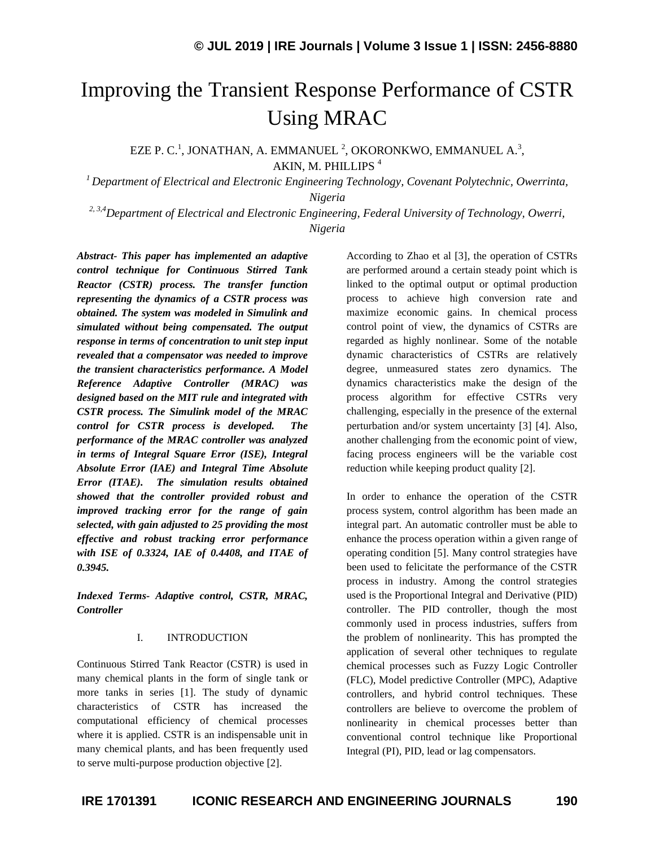# Improving the Transient Response Performance of CSTR Using MRAC

EZE P. C.<sup>1</sup>, JONATHAN, A. EMMANUEL<sup>2</sup>, OKORONKWO, EMMANUEL A.<sup>3</sup>, AKIN, M. PHILLIPS<sup>4</sup>

*<sup>1</sup>Department of Electrical and Electronic Engineering Technology, Covenant Polytechnic, Owerrinta, Nigeria*

*2, 3,4Department of Electrical and Electronic Engineering, Federal University of Technology, Owerri, Nigeria* 

*Abstract- This paper has implemented an adaptive control technique for Continuous Stirred Tank Reactor (CSTR) process. The transfer function representing the dynamics of a CSTR process was obtained. The system was modeled in Simulink and simulated without being compensated. The output response in terms of concentration to unit step input revealed that a compensator was needed to improve the transient characteristics performance. A Model Reference Adaptive Controller (MRAC) was designed based on the MIT rule and integrated with CSTR process. The Simulink model of the MRAC control for CSTR process is developed. The performance of the MRAC controller was analyzed in terms of Integral Square Error (ISE), Integral Absolute Error (IAE) and Integral Time Absolute Error (ITAE). The simulation results obtained showed that the controller provided robust and improved tracking error for the range of gain selected, with gain adjusted to 25 providing the most effective and robust tracking error performance with ISE of 0.3324, IAE of 0.4408, and ITAE of 0.3945.*

*Indexed Terms- Adaptive control, CSTR, MRAC, Controller*

#### I. INTRODUCTION

Continuous Stirred Tank Reactor (CSTR) is used in many chemical plants in the form of single tank or more tanks in series [1]. The study of dynamic characteristics of CSTR has increased the computational efficiency of chemical processes where it is applied. CSTR is an indispensable unit in many chemical plants, and has been frequently used to serve multi-purpose production objective [2].

According to Zhao et al [3], the operation of CSTRs are performed around a certain steady point which is linked to the optimal output or optimal production process to achieve high conversion rate and maximize economic gains. In chemical process control point of view, the dynamics of CSTRs are regarded as highly nonlinear. Some of the notable dynamic characteristics of CSTRs are relatively degree, unmeasured states zero dynamics. The dynamics characteristics make the design of the process algorithm for effective CSTRs very challenging, especially in the presence of the external perturbation and/or system uncertainty [3] [4]. Also, another challenging from the economic point of view, facing process engineers will be the variable cost reduction while keeping product quality [2].

In order to enhance the operation of the CSTR process system, control algorithm has been made an integral part. An automatic controller must be able to enhance the process operation within a given range of operating condition [5]. Many control strategies have been used to felicitate the performance of the CSTR process in industry. Among the control strategies used is the Proportional Integral and Derivative (PID) controller. The PID controller, though the most commonly used in process industries, suffers from the problem of nonlinearity. This has prompted the application of several other techniques to regulate chemical processes such as Fuzzy Logic Controller (FLC), Model predictive Controller (MPC), Adaptive controllers, and hybrid control techniques. These controllers are believe to overcome the problem of nonlinearity in chemical processes better than conventional control technique like Proportional Integral (PI), PID, lead or lag compensators.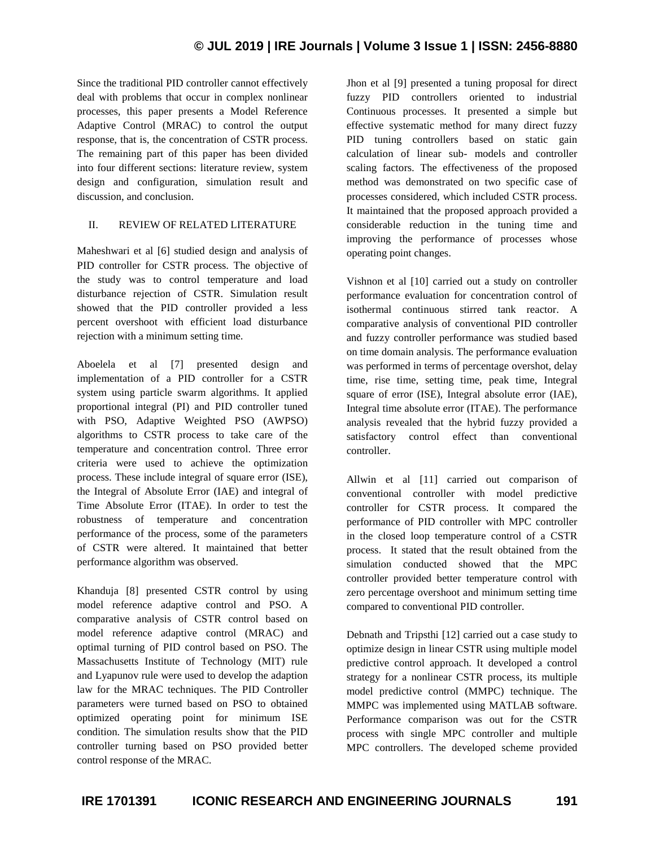Since the traditional PID controller cannot effectively deal with problems that occur in complex nonlinear processes, this paper presents a Model Reference Adaptive Control (MRAC) to control the output response, that is, the concentration of CSTR process. The remaining part of this paper has been divided into four different sections: literature review, system design and configuration, simulation result and discussion, and conclusion.

## II. REVIEW OF RELATED LITERATURE

Maheshwari et al [6] studied design and analysis of PID controller for CSTR process. The objective of the study was to control temperature and load disturbance rejection of CSTR. Simulation result showed that the PID controller provided a less percent overshoot with efficient load disturbance rejection with a minimum setting time.

Aboelela et al [7] presented design and implementation of a PID controller for a CSTR system using particle swarm algorithms. It applied proportional integral (PI) and PID controller tuned with PSO, Adaptive Weighted PSO (AWPSO) algorithms to CSTR process to take care of the temperature and concentration control. Three error criteria were used to achieve the optimization process. These include integral of square error (ISE), the Integral of Absolute Error (IAE) and integral of Time Absolute Error (ITAE). In order to test the robustness of temperature and concentration performance of the process, some of the parameters of CSTR were altered. It maintained that better performance algorithm was observed.

Khanduja [8] presented CSTR control by using model reference adaptive control and PSO. A comparative analysis of CSTR control based on model reference adaptive control (MRAC) and optimal turning of PID control based on PSO. The Massachusetts Institute of Technology (MIT) rule and Lyapunov rule were used to develop the adaption law for the MRAC techniques. The PID Controller parameters were turned based on PSO to obtained optimized operating point for minimum ISE condition. The simulation results show that the PID controller turning based on PSO provided better control response of the MRAC.

Jhon et al [9] presented a tuning proposal for direct fuzzy PID controllers oriented to industrial Continuous processes. It presented a simple but effective systematic method for many direct fuzzy PID tuning controllers based on static gain calculation of linear sub- models and controller scaling factors. The effectiveness of the proposed method was demonstrated on two specific case of processes considered, which included CSTR process. It maintained that the proposed approach provided a considerable reduction in the tuning time and improving the performance of processes whose operating point changes.

Vishnon et al [10] carried out a study on controller performance evaluation for concentration control of isothermal continuous stirred tank reactor. A comparative analysis of conventional PID controller and fuzzy controller performance was studied based on time domain analysis. The performance evaluation was performed in terms of percentage overshot, delay time, rise time, setting time, peak time, Integral square of error (ISE), Integral absolute error (IAE), Integral time absolute error (ITAE). The performance analysis revealed that the hybrid fuzzy provided a satisfactory control effect than conventional controller.

Allwin et al [11] carried out comparison of conventional controller with model predictive controller for CSTR process. It compared the performance of PID controller with MPC controller in the closed loop temperature control of a CSTR process. It stated that the result obtained from the simulation conducted showed that the MPC controller provided better temperature control with zero percentage overshoot and minimum setting time compared to conventional PID controller.

Debnath and Tripsthi [12] carried out a case study to optimize design in linear CSTR using multiple model predictive control approach. It developed a control strategy for a nonlinear CSTR process, its multiple model predictive control (MMPC) technique. The MMPC was implemented using MATLAB software. Performance comparison was out for the CSTR process with single MPC controller and multiple MPC controllers. The developed scheme provided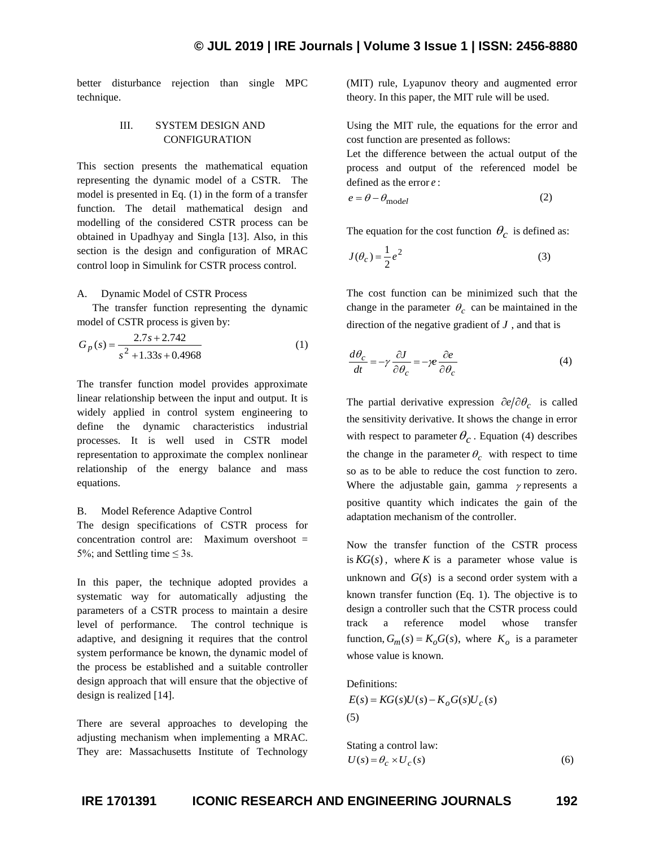better disturbance rejection than single MPC technique.

## III. SYSTEM DESIGN AND CONFIGURATION

This section presents the mathematical equation representing the dynamic model of a CSTR. The model is presented in Eq. (1) in the form of a transfer function. The detail mathematical design and modelling of the considered CSTR process can be obtained in Upadhyay and Singla [13]. Also, in this section is the design and configuration of MRAC control loop in Simulink for CSTR process control.

#### A. Dynamic Model of CSTR Process

The transfer function representing the dynamic model of CSTR process is given by:

$$
G_p(s) = \frac{2.7s + 2.742}{s^2 + 1.33s + 0.4968}
$$
 (1)

The transfer function model provides approximate linear relationship between the input and output. It is widely applied in control system engineering to define the dynamic characteristics industrial processes. It is well used in CSTR model representation to approximate the complex nonlinear relationship of the energy balance and mass equations.

## B. Model Reference Adaptive Control

The design specifications of CSTR process for concentration control are: Maximum overshoot = 5%; and Settling time  $\leq$  3s.

In this paper, the technique adopted provides a systematic way for automatically adjusting the parameters of a CSTR process to maintain a desire level of performance. The control technique is adaptive, and designing it requires that the control system performance be known, the dynamic model of the process be established and a suitable controller design approach that will ensure that the objective of design is realized [14].

There are several approaches to developing the adjusting mechanism when implementing a MRAC. They are: Massachusetts Institute of Technology

(MIT) rule, Lyapunov theory and augmented error theory. In this paper, the MIT rule will be used.

Using the MIT rule, the equations for the error and cost function are presented as follows:

Let the difference between the actual output of the process and output of the referenced model be defined as the error *e* :

$$
e = \theta - \theta_{\text{model}} \tag{2}
$$

The equation for the cost function  $\theta_c$  is defined as:

$$
J(\theta_c) = \frac{1}{2}e^2\tag{3}
$$

The cost function can be minimized such that the change in the parameter  $\theta_c$  can be maintained in the direction of the negative gradient of *J* , and that is

$$
\frac{d\theta_c}{dt} = -\gamma \frac{\partial J}{\partial \theta_c} = -\gamma e \frac{\partial e}{\partial \theta_c}
$$
(4)

The partial derivative expression  $\partial e/\partial \theta_c$  is called the sensitivity derivative. It shows the change in error with respect to parameter  $\theta_c$ . Equation (4) describes the change in the parameter  $\theta_c$  with respect to time so as to be able to reduce the cost function to zero. Where the adjustable gain, gamma  $\gamma$  represents a positive quantity which indicates the gain of the adaptation mechanism of the controller.

Now the transfer function of the CSTR process is  $KG(s)$ , where K is a parameter whose value is unknown and  $G(s)$  is a second order system with a known transfer function (Eq. 1). The objective is to design a controller such that the CSTR process could track a reference model whose transfer function,  $G_m(s) = K_o G(s)$ , where  $K_o$  is a parameter whose value is known.

Definitions:

 $E(s) = KG(s)U(s) - K_oG(s)U_c(s)$ (5)

Stating a control law:

\n
$$
U(s) = \theta_c \times U_c(s)
$$
\n(6)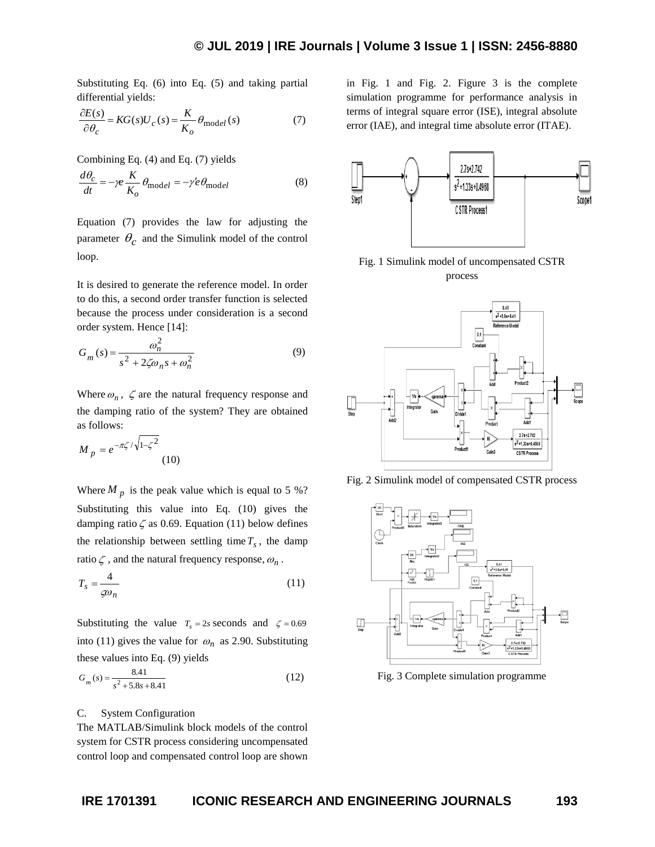Substituting Eq. (6) into Eq. (5) and taking partial differential yields:

$$
\frac{\partial E(s)}{\partial \theta_c} = KG(s) U_c(s) = \frac{K}{K_o} \theta_{\text{model}}(s)
$$
(7)

Combining Eq. (4) and Eq. (7) yields

$$
\frac{d\theta_c}{dt} = -\gamma e \frac{K}{K_o} \theta_{\text{model}} = -\gamma' e \theta_{\text{model}}
$$
 (8)

Equation (7) provides the law for adjusting the parameter  $\theta_c$  and the Simulink model of the control loop.

It is desired to generate the reference model. In order to do this, a second order transfer function is selected because the process under consideration is a second order system. Hence [14]:

$$
G_m(s) = \frac{\omega_n^2}{s^2 + 2\zeta\omega_n s + \omega_n^2}
$$
\n(9)

Where  $\omega_n$ ,  $\zeta$  are the natural frequency response and the damping ratio of the system? They are obtained as follows:

$$
M_p = e^{-\pi \zeta / \sqrt{1 - \zeta^2}} \tag{10}
$$

Where  $M_p$  is the peak value which is equal to 5 %? Substituting this value into Eq. (10) gives the damping ratio  $\zeta$  as 0.69. Equation (11) below defines the relationship between settling time  $T_s$ , the damp ratio  $\zeta$ , and the natural frequency response,  $\omega_n$ .

$$
T_s = \frac{4}{\zeta \omega_n} \tag{11}
$$

Substituting the value  $T_s = 2s$  seconds and  $\zeta = 0.69$ into (11) gives the value for  $\omega_n$  as 2.90. Substituting these values into Eq. (9) yields

$$
G_m(s) = \frac{8.41}{s^2 + 5.8s + 8.41} \tag{12}
$$

#### C. System Configuration

The MATLAB/Simulink block models of the control system for CSTR process considering uncompensated control loop and compensated control loop are shown in Fig. 1 and Fig. 2. Figure 3 is the complete simulation programme for performance analysis in terms of integral square error (ISE), integral absolute error (IAE), and integral time absolute error (ITAE).







Fig. 2 Simulink model of compensated CSTR process



Fig. 3 Complete simulation programme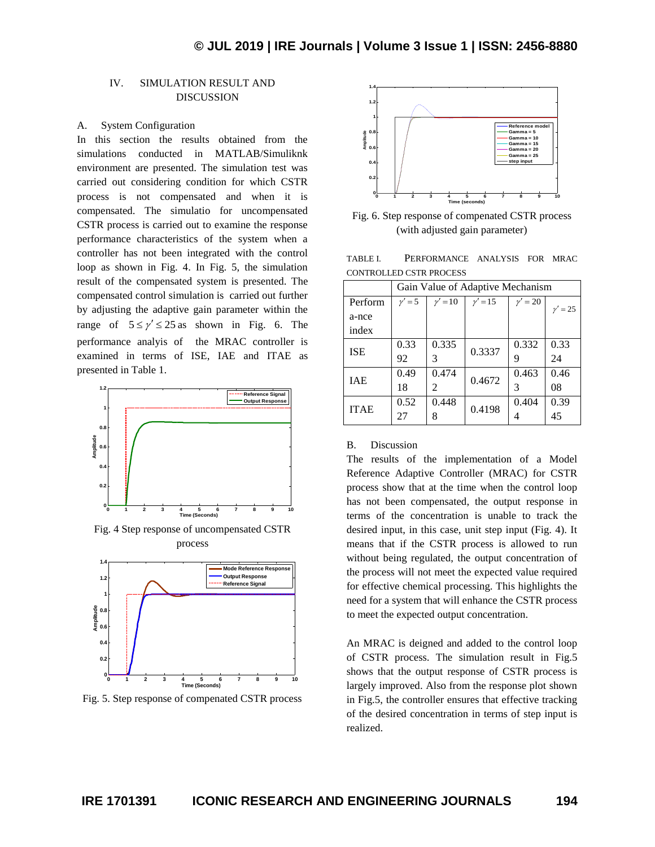## IV. SIMULATION RESULT AND DISCUSSION

## A. System Configuration

In this section the results obtained from the simulations conducted in MATLAB/Simuliknk environment are presented. The simulation test was carried out considering condition for which CSTR process is not compensated and when it is compensated. The simulatio for uncompensated CSTR process is carried out to examine the response performance characteristics of the system when a controller has not been integrated with the control loop as shown in Fig. 4. In Fig. 5, the simulation result of the compensated system is presented. The compensated control simulation is carried out further by adjusting the adaptive gain parameter within the range of  $5 \le \gamma' \le 25$  as shown in Fig. 6. The performance analyis of the MRAC controller is examined in terms of ISE, IAE and ITAE as presented in Table 1.



Fig. 4 Step response of uncompensated CSTR process



Fig. 5. Step response of compenated CSTR process



Fig. 6. Step response of compenated CSTR process (with adjusted gain parameter)

TABLE I. PERFORMANCE ANALYSIS FOR MRAC CONTROLLED CSTR PROCESS

|             | Gain Value of Adaptive Mechanism |                       |           |             |           |
|-------------|----------------------------------|-----------------------|-----------|-------------|-----------|
| Perform     | $v' = 5$                         | $\nu'=10$             | $v' = 15$ | $\nu' = 20$ | $y' = 25$ |
| a-nce       |                                  |                       |           |             |           |
| index       |                                  |                       |           |             |           |
| <b>ISE</b>  | 0.33                             | 0.335                 | 0.3337    | 0.332       | 0.33      |
|             | 92                               |                       |           | 9           | 24        |
| <b>IAE</b>  | 0.49                             | 0.474                 | 0.4672    | 0.463       | 0.46      |
|             | 18                               | $\mathcal{D}_{\cdot}$ |           | 3           | 08        |
| <b>ITAE</b> | 0.52                             | 0.448                 | 0.4198    | 0.404       | 0.39      |
|             | 27                               | 8                     |           | 4           | 45        |

### B. Discussion

The results of the implementation of a Model Reference Adaptive Controller (MRAC) for CSTR process show that at the time when the control loop has not been compensated, the output response in terms of the concentration is unable to track the desired input, in this case, unit step input (Fig. 4). It means that if the CSTR process is allowed to run without being regulated, the output concentration of the process will not meet the expected value required for effective chemical processing. This highlights the need for a system that will enhance the CSTR process to meet the expected output concentration.

An MRAC is deigned and added to the control loop of CSTR process. The simulation result in Fig.5 shows that the output response of CSTR process is largely improved. Also from the response plot shown in Fig.5, the controller ensures that effective tracking of the desired concentration in terms of step input is realized.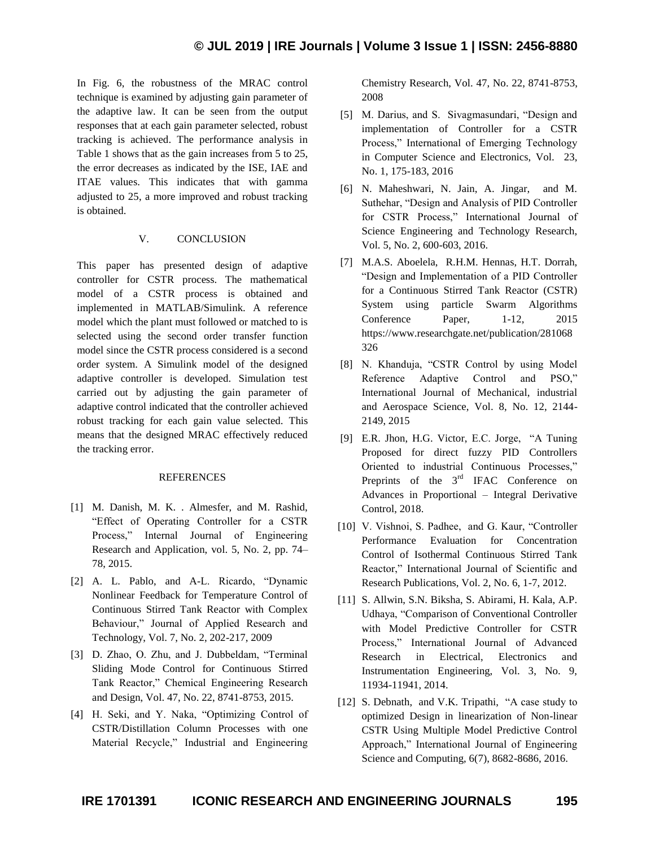In Fig. 6, the robustness of the MRAC control technique is examined by adjusting gain parameter of the adaptive law. It can be seen from the output responses that at each gain parameter selected, robust tracking is achieved. The performance analysis in Table 1 shows that as the gain increases from 5 to 25, the error decreases as indicated by the ISE, IAE and ITAE values. This indicates that with gamma adjusted to 25, a more improved and robust tracking is obtained.

## V. CONCLUSION

This paper has presented design of adaptive controller for CSTR process. The mathematical model of a CSTR process is obtained and implemented in MATLAB/Simulink. A reference model which the plant must followed or matched to is selected using the second order transfer function model since the CSTR process considered is a second order system. A Simulink model of the designed adaptive controller is developed. Simulation test carried out by adjusting the gain parameter of adaptive control indicated that the controller achieved robust tracking for each gain value selected. This means that the designed MRAC effectively reduced the tracking error.

## REFERENCES

- [1] M. Danish, M. K. . Almesfer, and M. Rashid, "Effect of Operating Controller for a CSTR Process," Internal Journal of Engineering Research and Application, vol. 5, No. 2, pp. 74– 78, 2015.
- [2] A. L. Pablo, and A-L. Ricardo, "Dynamic Nonlinear Feedback for Temperature Control of Continuous Stirred Tank Reactor with Complex Behaviour," Journal of Applied Research and Technology, Vol. 7, No. 2, 202-217, 2009
- [3] D. Zhao, O. Zhu, and J. Dubbeldam, "Terminal Sliding Mode Control for Continuous Stirred Tank Reactor," Chemical Engineering Research and Design, Vol. 47, No. 22, 8741-8753, 2015.
- [4] H. Seki, and Y. Naka, "Optimizing Control of CSTR/Distillation Column Processes with one Material Recycle," Industrial and Engineering

Chemistry Research, Vol. 47, No. 22, 8741-8753, 2008

- [5] M. Darius, and S. Sivagmasundari, "Design and implementation of Controller for a CSTR Process," International of Emerging Technology in Computer Science and Electronics, Vol. 23, No. 1, 175-183, 2016
- [6] N. Maheshwari, N. Jain, A. Jingar, and M. Suthehar, "Design and Analysis of PID Controller for CSTR Process," International Journal of Science Engineering and Technology Research, Vol. 5, No. 2, 600-603, 2016.
- [7] M.A.S. Aboelela, R.H.M. Hennas, H.T. Dorrah, "Design and Implementation of a PID Controller for a Continuous Stirred Tank Reactor (CSTR) System using particle Swarm Algorithms Conference Paper, 1-12, 2015 https://www.researchgate.net/publication/281068 326
- [8] N. Khanduja, "CSTR Control by using Model Reference Adaptive Control and PSO," International Journal of Mechanical, industrial and Aerospace Science, Vol. 8, No. 12, 2144- 2149, 2015
- [9] E.R. Jhon, H.G. Victor, E.C. Jorge, "A Tuning Proposed for direct fuzzy PID Controllers Oriented to industrial Continuous Processes," Preprints of the 3<sup>rd</sup> IFAC Conference on Advances in Proportional – Integral Derivative Control, 2018.
- [10] V. Vishnoi, S. Padhee, and G. Kaur, "Controller Performance Evaluation for Concentration Control of Isothermal Continuous Stirred Tank Reactor," International Journal of Scientific and Research Publications, Vol. 2, No. 6, 1-7, 2012.
- [11] S. Allwin, S.N. Biksha, S. Abirami, H. Kala, A.P. Udhaya, "Comparison of Conventional Controller with Model Predictive Controller for CSTR Process," International Journal of Advanced Research in Electrical, Electronics and Instrumentation Engineering, Vol. 3, No. 9, 11934-11941, 2014.
- [12] S. Debnath, and V.K. Tripathi, "A case study to optimized Design in linearization of Non-linear CSTR Using Multiple Model Predictive Control Approach," International Journal of Engineering Science and Computing, 6(7), 8682-8686, 2016.